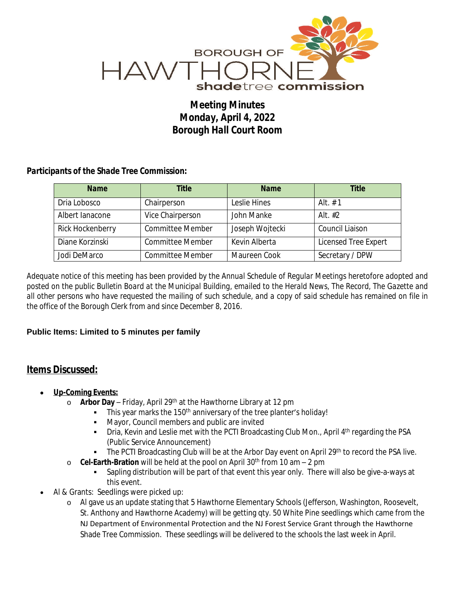

## *Meeting Minutes Monday, April 4, 2022 Borough Hall Court Room*

## *Participants of the Shade Tree Commission:*

| <b>Name</b>      | <b>Title</b>            | <b>Name</b>     | <b>Title</b>         |
|------------------|-------------------------|-----------------|----------------------|
| Dria Lobosco     | Chairperson             | Leslie Hines    | Alt $# 1$            |
| Albert lanacone  | Vice Chairperson        | John Manke      | Alt. $#2$            |
| Rick Hockenberry | <b>Committee Member</b> | Joseph Wojtecki | Council Liaison      |
| Diane Korzinski  | <b>Committee Member</b> | Kevin Alberta   | Licensed Tree Expert |
| Jodi DeMarco     | <b>Committee Member</b> | Maureen Cook    | Secretary / DPW      |

Adequate notice of this meeting has been provided by the Annual Schedule of Regular Meetings heretofore adopted and posted on the public Bulletin Board at the Municipal Building, emailed to the Herald News, The Record, The Gazette and all other persons who have requested the mailing of such schedule, and a copy of said schedule has remained on file in *the office of the Borough Clerk from and since December 8, 2016.*

## **Public Items: Limited to 5 minutes per family**

## *Items Discussed:*

- **Up-Coming Events:**
	- o **Arbor Day** Friday, April 29th at the Hawthorne Library at 12 pm
		- $\blacksquare$  This year marks the 150<sup>th</sup> anniversary of the tree planter's holiday!
		- **Mayor, Council members and public are invited**
		- Dria, Kevin and Leslie met with the PCTI Broadcasting Club Mon., April 4<sup>th</sup> regarding the PSA (Public Service Announcement)
		- The PCTI Broadcasting Club will be at the Arbor Day event on April 29<sup>th</sup> to record the PSA live.
		- o **Cel-Earth-Bration** will be held at the pool on April 30th from 10 am 2 pm
			- Sapling distribution will be part of that event this year only. There will also be give-a-ways at this event.
- Al & Grants: Seedlings were picked up:
	- o Al gave us an update stating that 5 Hawthorne Elementary Schools (Jefferson, Washington, Roosevelt, St. Anthony and Hawthorne Academy) will be getting qty. 50 White Pine seedlings which came from the NJ Department of Environmental Protection and the NJ Forest Service Grant through the Hawthorne Shade Tree Commission. These seedlings will be delivered to the schools the last week in April.